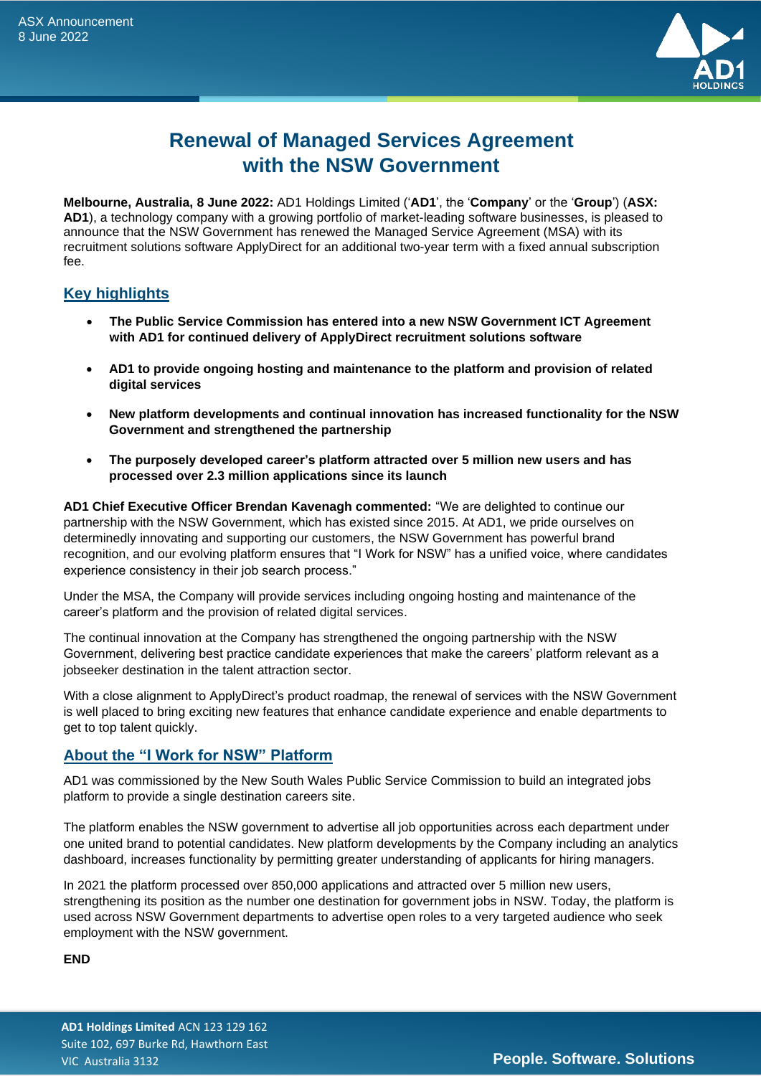

# **Renewal of Managed Services Agreement with the NSW Government**

**Melbourne, Australia, 8 June 2022:** AD1 Holdings Limited ('**AD1**', the '**Company**' or the '**Group**') (**ASX: AD1**), a technology company with a growing portfolio of market-leading software businesses, is pleased to announce that the NSW Government has renewed the Managed Service Agreement (MSA) with its recruitment solutions software ApplyDirect for an additional two-year term with a fixed annual subscription fee.

# **Key highlights**

- **The Public Service Commission has entered into a new NSW Government ICT Agreement with AD1 for continued delivery of ApplyDirect recruitment solutions software**
- **AD1 to provide ongoing hosting and maintenance to the platform and provision of related digital services**
- **New platform developments and continual innovation has increased functionality for the NSW Government and strengthened the partnership**
- **The purposely developed career's platform attracted over 5 million new users and has processed over 2.3 million applications since its launch**

**AD1 Chief Executive Officer Brendan Kavenagh commented:** "We are delighted to continue our partnership with the NSW Government, which has existed since 2015. At AD1, we pride ourselves on determinedly innovating and supporting our customers, the NSW Government has powerful brand recognition, and our evolving platform ensures that "I Work for NSW" has a unified voice, where candidates experience consistency in their job search process."

Under the MSA, the Company will provide services including ongoing hosting and maintenance of the career's platform and the provision of related digital services.

The continual innovation at the Company has strengthened the ongoing partnership with the NSW Government, delivering best practice candidate experiences that make the careers' platform relevant as a jobseeker destination in the talent attraction sector.

With a close alignment to ApplyDirect's product roadmap, the renewal of services with the NSW Government is well placed to bring exciting new features that enhance candidate experience and enable departments to get to top talent quickly.

# **About the "I Work for NSW" Platform**

AD1 was commissioned by the New South Wales Public Service Commission to build an integrated jobs platform to provide a single destination careers site.

The platform enables the NSW government to advertise all job opportunities across each department under one united brand to potential candidates. New platform developments by the Company including an analytics dashboard, increases functionality by permitting greater understanding of applicants for hiring managers.

In 2021 the platform processed over 850,000 applications and attracted over 5 million new users, strengthening its position as the number one destination for government jobs in NSW. Today, the platform is used across NSW Government departments to advertise open roles to a very targeted audience who seek employment with the NSW government.

## **END**

**AD1 Holdings Limited** ACN 123 129 162 Suite 102, 697 Burke Rd, Hawthorn East VIC Australia 3132